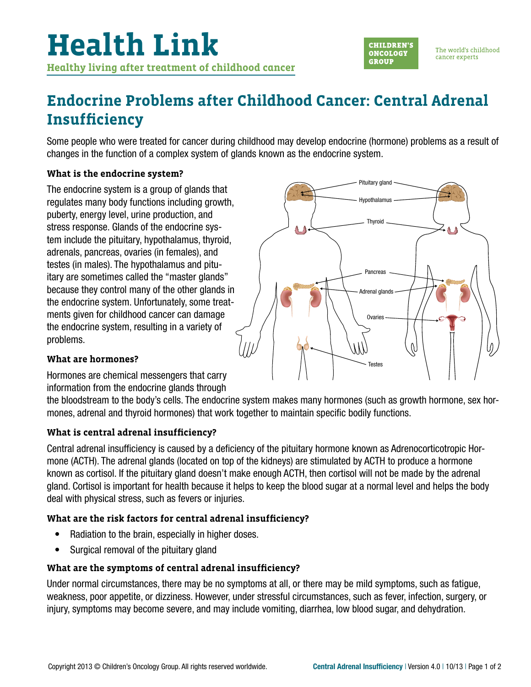

The world's childhood cancer experts

## **Endocrine Problems after Childhood Cancer: Central Adrenal Insufficiency**

Some people who were treated for cancer during childhood may develop endocrine (hormone) problems as a result of changes in the function of a complex system of glands known as the endocrine system.

### **What is the endocrine system?**

The endocrine system is a group of glands that regulates many body functions including growth, puberty, energy level, urine production, and stress response. Glands of the endocrine system include the pituitary, hypothalamus, thyroid, adrenals, pancreas, ovaries (in females), and testes (in males). The hypothalamus and pituitary are sometimes called the "master glands" because they control many of the other glands in the endocrine system. Unfortunately, some treatments given for childhood cancer can damage the endocrine system, resulting in a variety of problems.



### **What are hormones?**

Hormones are chemical messengers that carry information from the endocrine glands through

the bloodstream to the body's cells. The endocrine system makes many hormones (such as growth hormone, sex hormones, adrenal and thyroid hormones) that work together to maintain specific bodily functions.

### **What is central adrenal insufficiency?**

Central adrenal insufficiency is caused by a deficiency of the pituitary hormone known as Adrenocorticotropic Hormone (ACTH). The adrenal glands (located on top of the kidneys) are stimulated by ACTH to produce a hormone known as cortisol. If the pituitary gland doesn't make enough ACTH, then cortisol will not be made by the adrenal gland. Cortisol is important for health because it helps to keep the blood sugar at a normal level and helps the body deal with physical stress, such as fevers or injuries.

### **What are the risk factors for central adrenal insufficiency?**

- Radiation to the brain, especially in higher doses.
- Surgical removal of the pituitary gland

### **What are the symptoms of central adrenal insufficiency?**

Under normal circumstances, there may be no symptoms at all, or there may be mild symptoms, such as fatigue, weakness, poor appetite, or dizziness. However, under stressful circumstances, such as fever, infection, surgery, or injury, symptoms may become severe, and may include vomiting, diarrhea, low blood sugar, and dehydration.